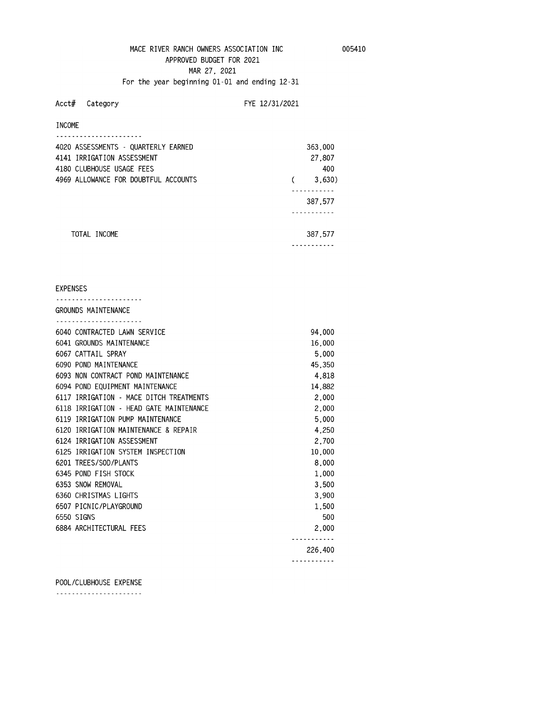# MACE RIVER RANCH OWNERS ASSOCIATION INC 005410 **APPROVED BUDGET FOR 2021 MAR 27, 2021 For the year beginning 01-01 and ending 12-31**

**Acct# Category FYE 12/31/2021** 

## **INCOME**

| 4020 ASSESSMENTS - QUARTERLY EARNED  | 363,000 |
|--------------------------------------|---------|
| 4141 IRRIGATION ASSESSMENT           | 27,807  |
| 4180 CLUBHOUSE USAGE FEES            | 400     |
| 4969 ALLOWANCE FOR DOUBTFUL ACCOUNTS | 3,630)  |
|                                      |         |
|                                      | 387,577 |
|                                      |         |
|                                      |         |
| TOTAI INCOMF                         | 387,577 |
|                                      |         |

#### **EXPENSES**

| GROUNDS MAINTENANCE                     |         |
|-----------------------------------------|---------|
|                                         |         |
| 6040 CONTRACTED LAWN SERVICE            | 94,000  |
| 6041 GROUNDS MAINTENANCE                | 16,000  |
| 6067 CATTAIL SPRAY                      | 5.000   |
| 6090 POND MAINTENANCE                   | 45.350  |
| 6093 NON CONTRACT POND MAINTENANCE      | 4,818   |
| 6094 POND EQUIPMENT MAINTENANCE         | 14,882  |
| 6117 IRRIGATION - MACE DITCH TREATMENTS | 2,000   |
| 6118 IRRIGATION - HEAD GATE MAINTENANCE | 2,000   |
| 6119 IRRIGATION PUMP MAINTENANCE        | 5,000   |
| 6120 IRRIGATION MAINTENANCE & REPAIR    | 4.250   |
| 6124 IRRIGATION ASSESSMENT              | 2,700   |
| 6125 IRRIGATION SYSTEM INSPECTION       | 10,000  |
| 6201 TREES/SOD/PLANTS                   | 8,000   |
| 6345 POND FISH STOCK                    | 1.000   |
| 6353 SNOW REMOVAL                       | 3,500   |
| 6360 CHRISTMAS LIGHTS                   | 3.900   |
| 6507 PICNIC/PLAYGROUND                  | 1.500   |
| 6550 SIGNS                              | 500     |
| 6884 ARCHITECTURAL FEES                 | 2,000   |
|                                         |         |
|                                         | 226,400 |
|                                         |         |

**POOL/CLUBHOUSE EXPENSE** 

**----------------------**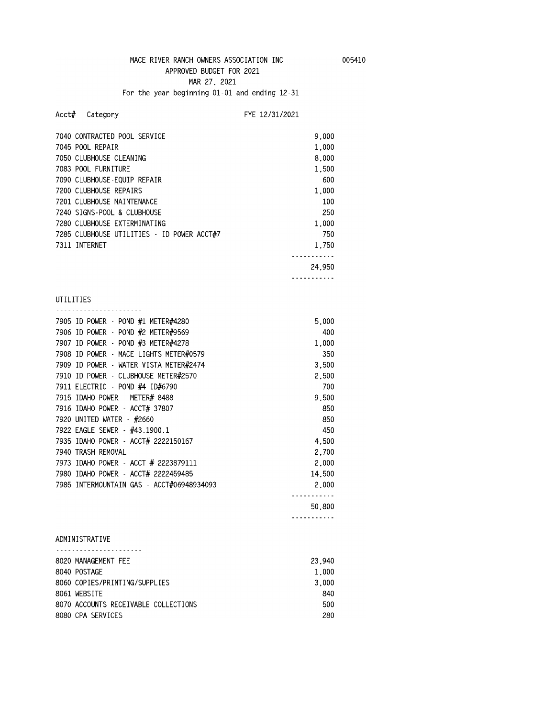# **APPROVED BUDGET FOR 2021 MAR 27, 2021**

**For the year beginning 01-01 and ending 12-31** 

## **Acct# Category FYE 12/31/2021**

| 7040 CONTRACTED POOL SERVICE               | 9.000  |  |
|--------------------------------------------|--------|--|
| 7045 POOL REPAIR                           | 1.000  |  |
| 7050 CLUBHOUSE CLEANING                    | 8,000  |  |
| 7083 POOL FURNITURF                        | 1.500  |  |
| 7090 CLUBHOUSE-EQUIP REPAIR                | 600    |  |
| 7200 CLUBHOUSE REPAIRS                     | 1.000  |  |
| 7201 CLUBHOUSE MAINTENANCE                 | 100    |  |
| 7240 SIGNS-POOL & CLUBHOUSE                | 250    |  |
| 7280 CLUBHOUSE EXTERMINATING               | 1.000  |  |
| 7285 CLUBHOUSE UTILITIES - ID POWER ACCT#7 | 750    |  |
| 7311 INTERNET                              | 1.750  |  |
|                                            |        |  |
|                                            | 24.950 |  |

**-----------** 

**UTILITIES** 

| 7905 ID POWER - POND #1 METER#4280        | 5.000  |
|-------------------------------------------|--------|
| 7906 ID POWER - POND #2 METER#9569        | 400    |
| 7907 ID POWER - POND #3 METER#4278        | 1.000  |
| 7908 ID POWER - MACE LIGHTS METER#0579    | 350    |
| 7909 ID POWER - WATER VISTA METER#2474    | 3.500  |
| 7910 ID POWER - CLUBHOUSE METER#2570      | 2.500  |
| 7911 ELECTRIC - POND #4 ID#6790           | 700    |
| 7915 IDAHO POWER - METER# 8488            | 9.500  |
| 7916 IDAHO POWER - ACCT# 37807            | 850    |
| 7920 UNITED WATER - #2660                 | 850    |
| 7922 EAGLE SEWER - #43.1900.1             | 450    |
| 7935 IDAHO POWER - ACCT# 2222150167       | 4.500  |
| 7940 TRASH REMOVAL                        | 2.700  |
| 7973 IDAHO POWER - ACCT # 2223879111      | 2,000  |
| 7980 IDAHO POWER - ACCT# 2222459485       | 14,500 |
| 7985 INTERMOUNTAIN GAS - ACCT#06948934093 | 2,000  |
|                                           |        |
|                                           | 50,800 |

**-----------** 

# **ADMINISTRATIVE**

|              | 8020 MANAGEMENT FEE                  | 23,940 |
|--------------|--------------------------------------|--------|
| 8040 POSTAGE |                                      | 1.000  |
|              | 8060 COPIFS/PRINTING/SUPPLIFS        | 3.000  |
| 8061 WEBSITE |                                      | 840    |
|              | 8070 ACCOUNTS RECEIVABLE COLLECTIONS | 500    |
|              | 8080 CPA SERVICES                    | 280    |